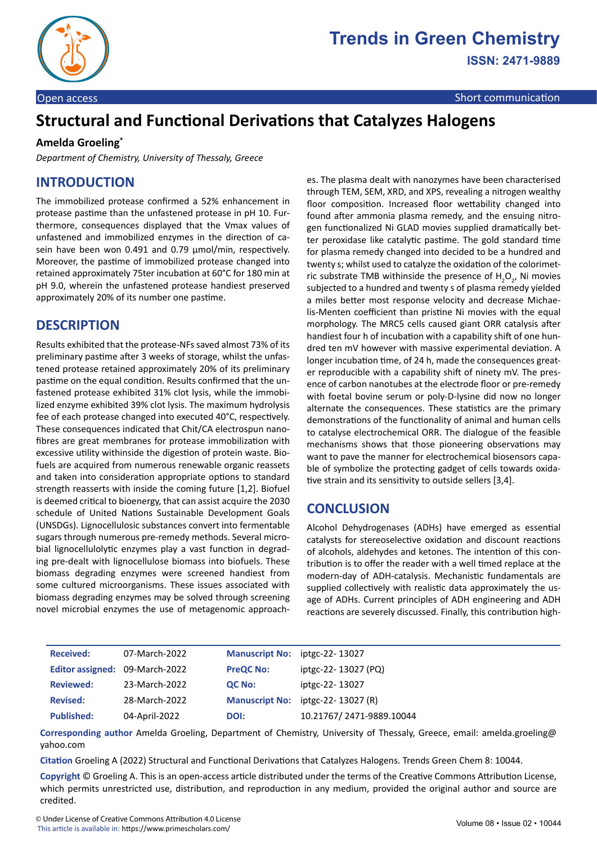

# **Structural and Functional Derivations that Catalyzes Halogens**

#### **Amelda Groeling\***

*Department of Chemistry, University of Thessaly, Greece*

### **INTRODUCTION**

The immobilized protease confirmed a 52% enhancement in protease pastime than the unfastened protease in pH 10. Furthermore, consequences displayed that the Vmax values of unfastened and immobilized enzymes in the direction of casein have been won 0.491 and 0.79 µmol/min, respectively. Moreover, the pastime of immobilized protease changed into retained approximately 75ter incubation at 60°C for 180 min at pH 9.0, wherein the unfastened protease handiest preserved approximately 20% of its number one pastime.

# **DESCRIPTION**

Results exhibited that the protease-NFs saved almost 73% of its preliminary pastime after 3 weeks of storage, whilst the unfastened protease retained approximately 20% of its preliminary pastime on the equal condition. Results confirmed that the unfastened protease exhibited 31% clot lysis, while the immobilized enzyme exhibited 39% clot lysis. The maximum hydrolysis fee of each protease changed into executed 40°C, respectively. These consequences indicated that Chit/CA electrospun nanofibres are great membranes for protease immobilization with excessive utility withinside the digestion of protein waste. Biofuels are acquired from numerous renewable organic reassets and taken into consideration appropriate options to standard strength reasserts with inside the coming future [1,2]. Biofuel is deemed critical to bioenergy, that can assist acquire the 2030 schedule of United Nations Sustainable Development Goals (UNSDGs). Lignocellulosic substances convert into fermentable sugars through numerous pre-remedy methods. Several microbial lignocellulolytic enzymes play a vast function in degrading pre-dealt with lignocellulose biomass into biofuels. These biomass degrading enzymes were screened handiest from some cultured microorganisms. These issues associated with biomass degrading enzymes may be solved through screening novel microbial enzymes the use of metagenomic approaches. The plasma dealt with nanozymes have been characterised through TEM, SEM, XRD, and XPS, revealing a nitrogen wealthy floor composition. Increased floor wettability changed into found after ammonia plasma remedy, and the ensuing nitrogen functionalized Ni GLAD movies supplied dramatically better peroxidase like catalytic pastime. The gold standard time for plasma remedy changed into decided to be a hundred and twenty s; whilst used to catalyze the oxidation of the colorimetric substrate TMB withinside the presence of  $H_2O_2$ , Ni movies subjected to a hundred and twenty s of plasma remedy yielded a miles better most response velocity and decrease Michaelis-Menten coefficient than pristine Ni movies with the equal morphology. The MRC5 cells caused giant ORR catalysis after handiest four h of incubation with a capability shift of one hundred ten mV however with massive experimental deviation. A longer incubation time, of 24 h, made the consequences greater reproducible with a capability shift of ninety mV. The presence of carbon nanotubes at the electrode floor or pre-remedy with foetal bovine serum or poly-D-lysine did now no longer alternate the consequences. These statistics are the primary demonstrations of the functionality of animal and human cells to catalyse electrochemical ORR. The dialogue of the feasible mechanisms shows that those pioneering observations may want to pave the manner for electrochemical biosensors capable of symbolize the protecting gadget of cells towards oxidative strain and its sensitivity to outside sellers [3,4].

### **CONCLUSION**

Alcohol Dehydrogenases (ADHs) have emerged as essential catalysts for stereoselective oxidation and discount reactions of alcohols, aldehydes and ketones. The intention of this contribution is to offer the reader with a well timed replace at the modern-day of ADH-catalysis. Mechanistic fundamentals are supplied collectively with realistic data approximately the usage of ADHs. Current principles of ADH engineering and ADH reactions are severely discussed. Finally, this contribution high-

| <b>Received:</b>               | 07-March-2022 | Manuscript No: iptgc-22-13027 |                                   |
|--------------------------------|---------------|-------------------------------|-----------------------------------|
| Editor assigned: 09-March-2022 |               | <b>PreQC No:</b>              | iptgc-22-13027 (PQ)               |
| <b>Reviewed:</b>               | 23-March-2022 | QC No:                        | iptgc-22-13027                    |
| <b>Revised:</b>                | 28-March-2022 |                               | Manuscript No: iptgc-22-13027 (R) |
| <b>Published:</b>              | 04-April-2022 | DOI:                          | 10.21767/2471-9889.10044          |

**Corresponding author** Amelda Groeling, Department of Chemistry, University of Thessaly, Greece, email: amelda.groeling@ yahoo.com

**Citation** Groeling A (2022) Structural and Functional Derivations that Catalyzes Halogens. Trends Green Chem 8: 10044.

**Copyright** © Groeling A. This is an open-access article distributed under the terms of the Creative Commons Attribution License, which permits unrestricted use, distribution, and reproduction in any medium, provided the original author and source are credited.